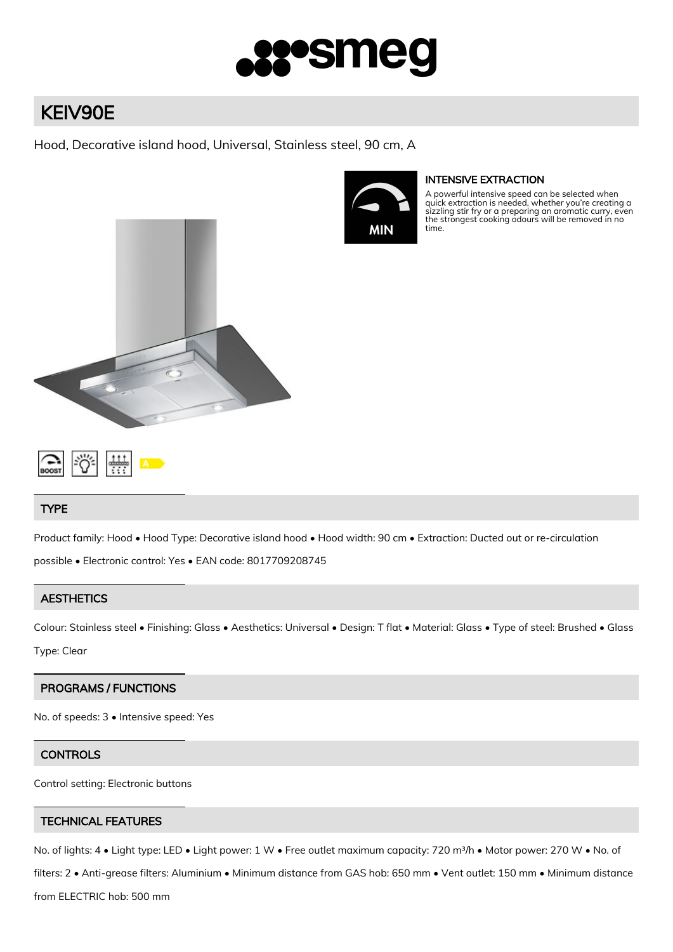

# KEIV90E

Hood, Decorative island hood, Universal, Stainless steel, 90 cm, A



## INTENSIVE EXTRACTION

A powerful intensive speed can be selected when quick extraction is needed, whether you're creating a sizzling stir fry or a preparing an aromatic curry, even the strongest cooking odours will be removed in no time.



## **TYPE**

Product family: Hood • Hood Type: Decorative island hood • Hood width: 90 cm • Extraction: Ducted out or re-circulation possible • Electronic control: Yes • EAN code: 8017709208745

## **AESTHETICS**

Colour: Stainless steel • Finishing: Glass • Aesthetics: Universal • Design: T flat • Material: Glass • Type of steel: Brushed • Glass Type: Clear

## PROGRAMS / FUNCTIONS

No. of speeds: 3 • Intensive speed: Yes

## **CONTROLS**

Control setting: Electronic buttons

## TECHNICAL FEATURES

No. of lights: 4 • Light type: LED • Light power: 1 W • Free outlet maximum capacity: 720 m<sup>3</sup>/h • Motor power: 270 W • No. of

filters: 2 • Anti-grease filters: Aluminium • Minimum distance from GAS hob: 650 mm • Vent outlet: 150 mm • Minimum distance

from ELECTRIC hob: 500 mm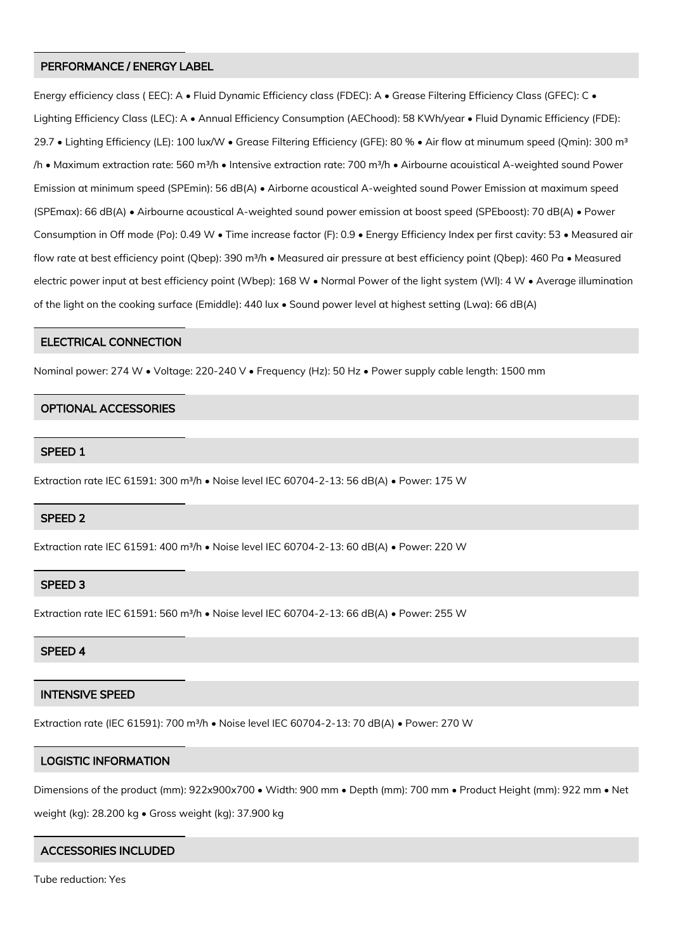#### PERFORMANCE / ENERGY LABEL

Energy efficiency class (EEC): A • Fluid Dynamic Efficiency class (FDEC): A • Grease Filtering Efficiency Class (GFEC): C • Lighting Efficiency Class (LEC): A • Annual Efficiency Consumption (AEChood): 58 KWh/year • Fluid Dynamic Efficiency (FDE): 29.7 • Lighting Efficiency (LE): 100 lux/W • Grease Filtering Efficiency (GFE): 80 % • Air flow at minumum speed (Qmin): 300 m<sup>3</sup> /h • Maximum extraction rate: 560 m<sup>3</sup>/h • Intensive extraction rate: 700 m<sup>3</sup>/h • Airbourne acouistical A-weighted sound Power Emission at minimum speed (SPEmin): 56 dB(A) • Airborne acoustical A-weighted sound Power Emission at maximum speed (SPEmax): 66 dB(A) • Airbourne acoustical A-weighted sound power emission at boost speed (SPEboost): 70 dB(A) • Power Consumption in Off mode (Po): 0.49 W • Time increase factor (F): 0.9 • Energy Efficiency Index per first cavity: 53 • Measured air flow rate at best efficiency point (Qbep): 390 m<sup>3</sup>/h • Measured air pressure at best efficiency point (Qbep): 460 Pa • Measured electric power input at best efficiency point (Wbep): 168 W • Normal Power of the light system (Wl): 4 W • Average illumination of the light on the cooking surface (Emiddle): 440 lux • Sound power level at highest setting (Lwa): 66 dB(A)

#### ELECTRICAL CONNECTION

Nominal power: 274 W • Voltage: 220-240 V • Frequency (Hz): 50 Hz • Power supply cable length: 1500 mm

#### OPTIONAL ACCESSORIES

#### SPEED 1

Extraction rate IEC 61591: 300 m<sup>3</sup>/h · Noise level IEC 60704-2-13: 56 dB(A) · Power: 175 W

#### SPEED 2

Extraction rate IEC 61591: 400 m<sup>3</sup>/h · Noise level IEC 60704-2-13: 60 dB(A) · Power: 220 W

#### SPEED 3

Extraction rate IEC 61591: 560 m<sup>3</sup>/h · Noise level IEC 60704-2-13: 66 dB(A) · Power: 255 W

### SPEED 4

### INTENSIVE SPEED

Extraction rate (IEC 61591): 700 m<sup>3</sup>/h · Noise level IEC 60704-2-13: 70 dB(A) · Power: 270 W

## LOGISTIC INFORMATION

Dimensions of the product (mm): 922x900x700 • Width: 900 mm • Depth (mm): 700 mm • Product Height (mm): 922 mm • Net weight (kg): 28.200 kg • Gross weight (kg): 37.900 kg

## ACCESSORIES INCLUDED

Tube reduction: Yes